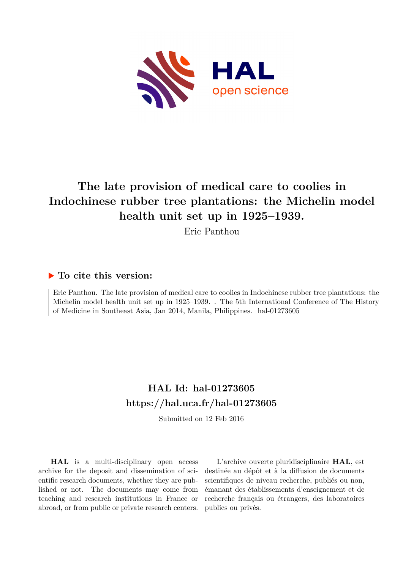

# **The late provision of medical care to coolies in Indochinese rubber tree plantations: the Michelin model health unit set up in 1925–1939.**

Eric Panthou

### **To cite this version:**

Eric Panthou. The late provision of medical care to coolies in Indochinese rubber tree plantations: the Michelin model health unit set up in 1925–1939. . The 5th International Conference of The History of Medicine in Southeast Asia, Jan 2014, Manila, Philippines. hal-01273605

## **HAL Id: hal-01273605 <https://hal.uca.fr/hal-01273605>**

Submitted on 12 Feb 2016

**HAL** is a multi-disciplinary open access archive for the deposit and dissemination of scientific research documents, whether they are published or not. The documents may come from teaching and research institutions in France or abroad, or from public or private research centers.

L'archive ouverte pluridisciplinaire **HAL**, est destinée au dépôt et à la diffusion de documents scientifiques de niveau recherche, publiés ou non, émanant des établissements d'enseignement et de recherche français ou étrangers, des laboratoires publics ou privés.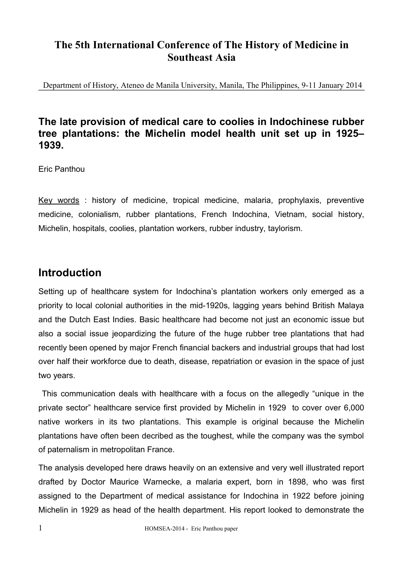## **The 5th International Conference of The History of Medicine in Southeast Asia**

Department of History, Ateneo de Manila University, Manila, The Philippines, 9-11 January 2014

## **The late provision of medical care to coolies in Indochinese rubber tree plantations: the Michelin model health unit set up in 1925– 1939.**

Eric Panthou

Key words : history of medicine, tropical medicine, malaria, prophylaxis, preventive medicine, colonialism, rubber plantations, French Indochina, Vietnam, social history, Michelin, hospitals, coolies, plantation workers, rubber industry, taylorism.

## **Introduction**

Setting up of healthcare system for Indochina's plantation workers only emerged as a priority to local colonial authorities in the mid-1920s, lagging years behind British Malaya and the Dutch East Indies. Basic healthcare had become not just an economic issue but also a social issue jeopardizing the future of the huge rubber tree plantations that had recently been opened by major French financial backers and industrial groups that had lost over half their workforce due to death, disease, repatriation or evasion in the space of just two years.

 This communication deals with healthcare with a focus on the allegedly "unique in the private sector" healthcare service first provided by Michelin in 1929 to cover over 6,000 native workers in its two plantations. This example is original because the Michelin plantations have often been decribed as the toughest, while the company was the symbol of paternalism in metropolitan France.

The analysis developed here draws heavily on an extensive and very well illustrated report drafted by Doctor Maurice Warnecke, a malaria expert, born in 1898, who was first assigned to the Department of medical assistance for Indochina in 1922 before joining Michelin in 1929 as head of the health department. His report looked to demonstrate the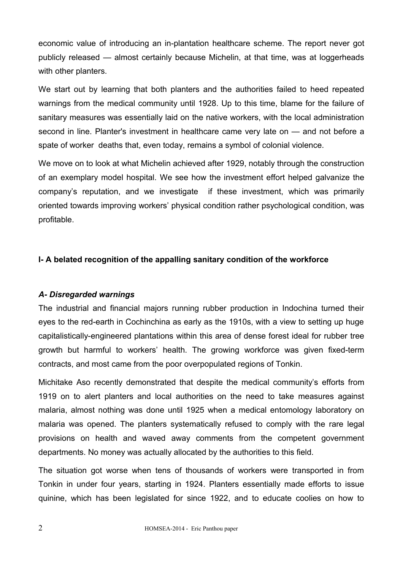economic value of introducing an in-plantation healthcare scheme. The report never got publicly released — almost certainly because Michelin, at that time, was at loggerheads with other planters.

We start out by learning that both planters and the authorities failed to heed repeated warnings from the medical community until 1928. Up to this time, blame for the failure of sanitary measures was essentially laid on the native workers, with the local administration second in line. Planter's investment in healthcare came very late on — and not before a spate of worker deaths that, even today, remains a symbol of colonial violence.

We move on to look at what Michelin achieved after 1929, notably through the construction of an exemplary model hospital. We see how the investment effort helped galvanize the company's reputation, and we investigate if these investment, which was primarily oriented towards improving workers' physical condition rather psychological condition, was profitable.

#### **I- A belated recognition of the appalling sanitary condition of the workforce**

#### *A- Disregarded warnings*

The industrial and financial majors running rubber production in Indochina turned their eyes to the red-earth in Cochinchina as early as the 1910s, with a view to setting up huge capitalistically-engineered plantations within this area of dense forest ideal for rubber tree growth but harmful to workers' health. The growing workforce was given fixed-term contracts, and most came from the poor overpopulated regions of Tonkin.

Michitake Aso recently demonstrated that despite the medical community's efforts from 1919 on to alert planters and local authorities on the need to take measures against malaria, almost nothing was done until 1925 when a medical entomology laboratory on malaria was opened. The planters systematically refused to comply with the rare legal provisions on health and waved away comments from the competent government departments. No money was actually allocated by the authorities to this field.

The situation got worse when tens of thousands of workers were transported in from Tonkin in under four years, starting in 1924. Planters essentially made efforts to issue quinine, which has been legislated for since 1922, and to educate coolies on how to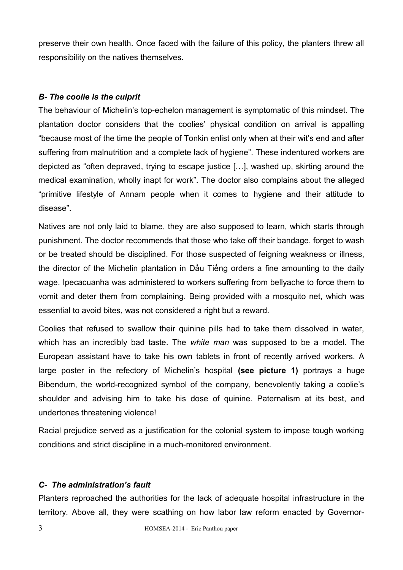preserve their own health. Once faced with the failure of this policy, the planters threw all responsibility on the natives themselves.

#### *B- The coolie is the culprit*

The behaviour of Michelin's top-echelon management is symptomatic of this mindset. The plantation doctor considers that the coolies' physical condition on arrival is appalling "because most of the time the people of Tonkin enlist only when at their wit's end and after suffering from malnutrition and a complete lack of hygiene". These indentured workers are depicted as "often depraved, trying to escape justice […], washed up, skirting around the medical examination, wholly inapt for work". The doctor also complains about the alleged "primitive lifestyle of Annam people when it comes to hygiene and their attitude to disease".

Natives are not only laid to blame, they are also supposed to learn, which starts through punishment. The doctor recommends that those who take off their bandage, forget to wash or be treated should be disciplined. For those suspected of feigning weakness or illness, the director of the Michelin plantation in Dầu Tiếng orders a fine amounting to the daily wage. Ipecacuanha was administered to workers suffering from bellyache to force them to vomit and deter them from complaining. Being provided with a mosquito net, which was essential to avoid bites, was not considered a right but a reward.

Coolies that refused to swallow their quinine pills had to take them dissolved in water, which has an incredibly bad taste. The *white man* was supposed to be a model. The European assistant have to take his own tablets in front of recently arrived workers. A large poster in the refectory of Michelin's hospital **(see picture 1)** portrays a huge Bibendum, the world-recognized symbol of the company, benevolently taking a coolie's shoulder and advising him to take his dose of quinine. Paternalism at its best, and undertones threatening violence!

Racial prejudice served as a justification for the colonial system to impose tough working conditions and strict discipline in a much-monitored environment.

#### *C- The administration's fault*

Planters reproached the authorities for the lack of adequate hospital infrastructure in the territory. Above all, they were scathing on how labor law reform enacted by Governor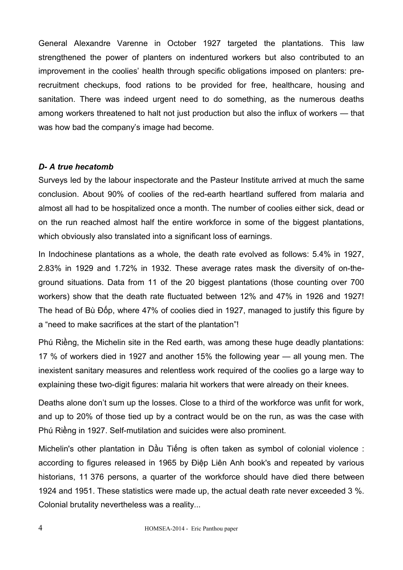General Alexandre Varenne in October 1927 targeted the plantations. This law strengthened the power of planters on indentured workers but also contributed to an improvement in the coolies' health through specific obligations imposed on planters: prerecruitment checkups, food rations to be provided for free, healthcare, housing and sanitation. There was indeed urgent need to do something, as the numerous deaths among workers threatened to halt not just production but also the influx of workers — that was how bad the company's image had become.

#### *D- A true hecatomb*

Surveys led by the labour inspectorate and the Pasteur Institute arrived at much the same conclusion. About 90% of coolies of the red-earth heartland suffered from malaria and almost all had to be hospitalized once a month. The number of coolies either sick, dead or on the run reached almost half the entire workforce in some of the biggest plantations, which obviously also translated into a significant loss of earnings.

In Indochinese plantations as a whole, the death rate evolved as follows: 5.4% in 1927, 2.83% in 1929 and 1.72% in 1932. These average rates mask the diversity of on-theground situations. Data from 11 of the 20 biggest plantations (those counting over 700 workers) show that the death rate fluctuated between 12% and 47% in 1926 and 1927! The head of Bù Đốp, where 47% of coolies died in 1927, managed to justify this figure by a "need to make sacrifices at the start of the plantation"!

Phú Riềng, the Michelin site in the Red earth, was among these huge deadly plantations: 17 % of workers died in 1927 and another 15% the following year — all young men. The inexistent sanitary measures and relentless work required of the coolies go a large way to explaining these two-digit figures: malaria hit workers that were already on their knees.

Deaths alone don't sum up the losses. Close to a third of the workforce was unfit for work, and up to 20% of those tied up by a contract would be on the run, as was the case with Phú Riềng in 1927. Self-mutilation and suicides were also prominent.

Michelin's other plantation in Dầu Tiếng is often taken as symbol of colonial violence : according to figures released in 1965 by Điệp Liên Anh book's and repeated by various historians, 11 376 persons, a quarter of the workforce should have died there between 1924 and 1951. These statistics were made up, the actual death rate never exceeded 3 %. Colonial brutality nevertheless was a reality...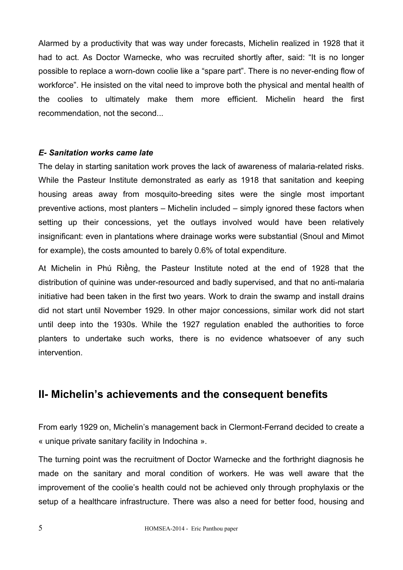Alarmed by a productivity that was way under forecasts, Michelin realized in 1928 that it had to act. As Doctor Warnecke, who was recruited shortly after, said: "It is no longer possible to replace a worn-down coolie like a "spare part". There is no never-ending flow of workforce". He insisted on the vital need to improve both the physical and mental health of the coolies to ultimately make them more efficient. Michelin heard the first recommendation, not the second...

#### *E- Sanitation works came late*

The delay in starting sanitation work proves the lack of awareness of malaria-related risks. While the Pasteur Institute demonstrated as early as 1918 that sanitation and keeping housing areas away from mosquito-breeding sites were the single most important preventive actions, most planters – Michelin included – simply ignored these factors when setting up their concessions, yet the outlays involved would have been relatively insignificant: even in plantations where drainage works were substantial (Snoul and Mimot for example), the costs amounted to barely 0.6% of total expenditure.

At Michelin in Phú Riềng, the Pasteur Institute noted at the end of 1928 that the distribution of quinine was under-resourced and badly supervised, and that no anti-malaria initiative had been taken in the first two years. Work to drain the swamp and install drains did not start until November 1929. In other major concessions, similar work did not start until deep into the 1930s. While the 1927 regulation enabled the authorities to force planters to undertake such works, there is no evidence whatsoever of any such intervention.

## **II- Michelin's achievements and the consequent benefits**

From early 1929 on, Michelin's management back in Clermont-Ferrand decided to create a « unique private sanitary facility in Indochina ».

The turning point was the recruitment of Doctor Warnecke and the forthright diagnosis he made on the sanitary and moral condition of workers. He was well aware that the improvement of the coolie's health could not be achieved only through prophylaxis or the setup of a healthcare infrastructure. There was also a need for better food, housing and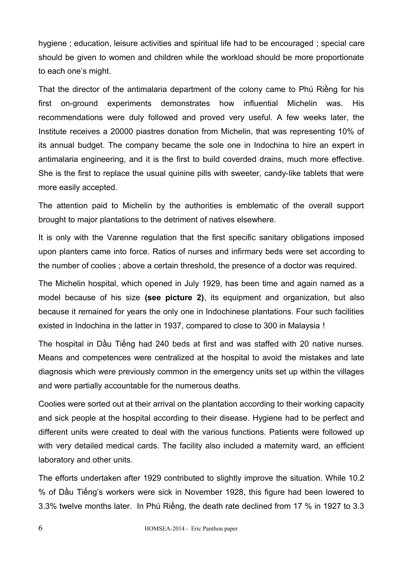hygiene ; education, leisure activities and spiritual life had to be encouraged ; special care should be given to women and children while the workload should be more proportionate to each one's might.

That the director of the antimalaria department of the colony came to Phú Riềng for his first on-ground experiments demonstrates how influential Michelin was. His recommendations were duly followed and proved very useful. A few weeks later, the Institute receives a 20000 piastres donation from Michelin, that was representing 10% of its annual budget. The company became the sole one in Indochina to hire an expert in antimalaria engineering, and it is the first to build coverded drains, much more effective. She is the first to replace the usual quinine pills with sweeter, candy-like tablets that were more easily accepted.

The attention paid to Michelin by the authorities is emblematic of the overall support brought to major plantations to the detriment of natives elsewhere.

It is only with the Varenne regulation that the first specific sanitary obligations imposed upon planters came into force. Ratios of nurses and infirmary beds were set according to the number of coolies ; above a certain threshold, the presence of a doctor was required.

The Michelin hospital, which opened in July 1929, has been time and again named as a model because of his size **(see picture 2)**, its equipment and organization, but also because it remained for years the only one in Indochinese plantations. Four such facilities existed in Indochina in the latter in 1937, compared to close to 300 in Malaysia !

The hospital in Dầu Tiếng had 240 beds at first and was staffed with 20 native nurses. Means and competences were centralized at the hospital to avoid the mistakes and late diagnosis which were previously common in the emergency units set up within the villages and were partially accountable for the numerous deaths.

Coolies were sorted out at their arrival on the plantation according to their working capacity and sick people at the hospital according to their disease. Hygiene had to be perfect and different units were created to deal with the various functions. Patients were followed up with very detailed medical cards. The facility also included a maternity ward, an efficient laboratory and other units.

The efforts undertaken after 1929 contributed to slightly improve the situation. While 10.2 % of Dầu Tiếng's workers were sick in November 1928, this figure had been lowered to 3.3% twelve months later. In Phú Riềng, the death rate declined from 17 % in 1927 to 3.3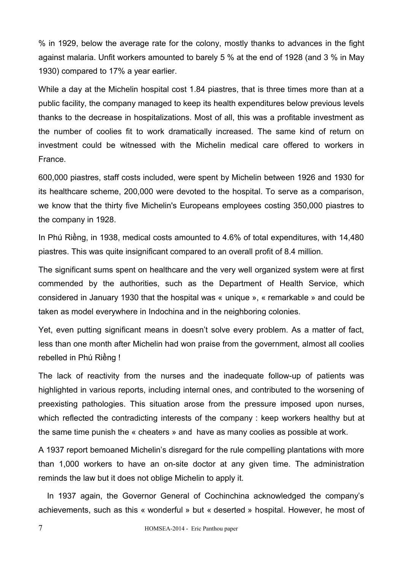% in 1929, below the average rate for the colony, mostly thanks to advances in the fight against malaria. Unfit workers amounted to barely 5 % at the end of 1928 (and 3 % in May 1930) compared to 17% a year earlier.

While a day at the Michelin hospital cost 1.84 piastres, that is three times more than at a public facility, the company managed to keep its health expenditures below previous levels thanks to the decrease in hospitalizations. Most of all, this was a profitable investment as the number of coolies fit to work dramatically increased. The same kind of return on investment could be witnessed with the Michelin medical care offered to workers in France.

600,000 piastres, staff costs included, were spent by Michelin between 1926 and 1930 for its healthcare scheme, 200,000 were devoted to the hospital. To serve as a comparison, we know that the thirty five Michelin's Europeans employees costing 350,000 piastres to the company in 1928.

In Phú Riềng, in 1938, medical costs amounted to 4.6% of total expenditures, with 14,480 piastres. This was quite insignificant compared to an overall profit of 8.4 million.

The significant sums spent on healthcare and the very well organized system were at first commended by the authorities, such as the Department of Health Service, which considered in January 1930 that the hospital was « unique », « remarkable » and could be taken as model everywhere in Indochina and in the neighboring colonies.

Yet, even putting significant means in doesn't solve every problem. As a matter of fact, less than one month after Michelin had won praise from the government, almost all coolies rebelled in Phú Riềng !

The lack of reactivity from the nurses and the inadequate follow-up of patients was highlighted in various reports, including internal ones, and contributed to the worsening of preexisting pathologies. This situation arose from the pressure imposed upon nurses, which reflected the contradicting interests of the company : keep workers healthy but at the same time punish the « cheaters » and have as many coolies as possible at work.

A 1937 report bemoaned Michelin's disregard for the rule compelling plantations with more than 1,000 workers to have an on-site doctor at any given time. The administration reminds the law but it does not oblige Michelin to apply it.

 In 1937 again, the Governor General of Cochinchina acknowledged the company's achievements, such as this « wonderful » but « deserted » hospital. However, he most of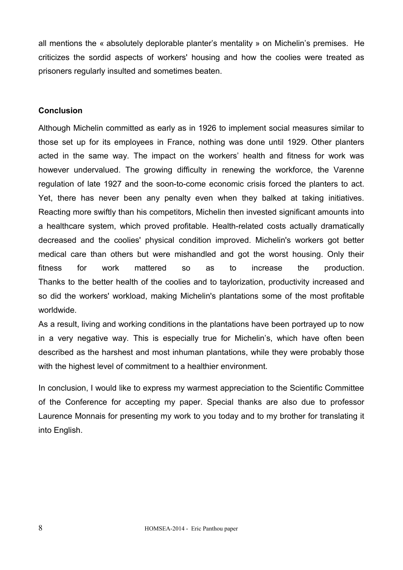all mentions the « absolutely deplorable planter's mentality » on Michelin's premises. He criticizes the sordid aspects of workers' housing and how the coolies were treated as prisoners regularly insulted and sometimes beaten.

#### **Conclusion**

Although Michelin committed as early as in 1926 to implement social measures similar to those set up for its employees in France, nothing was done until 1929. Other planters acted in the same way. The impact on the workers' health and fitness for work was however undervalued. The growing difficulty in renewing the workforce, the Varenne regulation of late 1927 and the soon-to-come economic crisis forced the planters to act. Yet, there has never been any penalty even when they balked at taking initiatives. Reacting more swiftly than his competitors, Michelin then invested significant amounts into a healthcare system, which proved profitable. Health-related costs actually dramatically decreased and the coolies' physical condition improved. Michelin's workers got better medical care than others but were mishandled and got the worst housing. Only their fitness for work mattered so as to increase the production. Thanks to the better health of the coolies and to taylorization, productivity increased and so did the workers' workload, making Michelin's plantations some of the most profitable worldwide.

As a result, living and working conditions in the plantations have been portrayed up to now in a very negative way. This is especially true for Michelin's, which have often been described as the harshest and most inhuman plantations, while they were probably those with the highest level of commitment to a healthier environment.

In conclusion, I would like to express my warmest appreciation to the Scientific Committee of the Conference for accepting my paper. Special thanks are also due to professor Laurence Monnais for presenting my work to you today and to my brother for translating it into English.